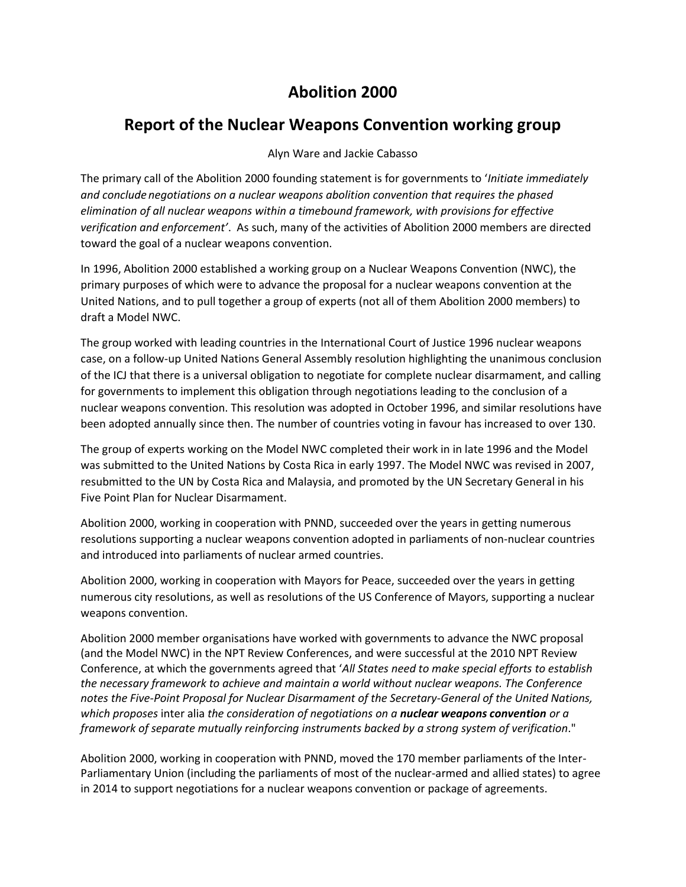## **Abolition 2000**

## **Report of the Nuclear Weapons Convention working group**

Alyn Ware and Jackie Cabasso

The primary call of the Abolition 2000 founding statement is for governments to '*Initiate immediately and conclude negotiations on a nuclear weapons abolition convention that requires the phased elimination of all nuclear weapons within a timebound framework, with provisions for effective verification and enforcement'*. As such, many of the activities of Abolition 2000 members are directed toward the goal of a nuclear weapons convention.

In 1996, Abolition 2000 established a working group on a Nuclear Weapons Convention (NWC), the primary purposes of which were to advance the proposal for a nuclear weapons convention at the United Nations, and to pull together a group of experts (not all of them Abolition 2000 members) to draft a Model NWC.

The group worked with leading countries in the International Court of Justice 1996 nuclear weapons case, on a follow-up United Nations General Assembly resolution highlighting the unanimous conclusion of the ICJ that there is a universal obligation to negotiate for complete nuclear disarmament, and calling for governments to implement this obligation through negotiations leading to the conclusion of a nuclear weapons convention. This resolution was adopted in October 1996, and similar resolutions have been adopted annually since then. The number of countries voting in favour has increased to over 130.

The group of experts working on the Model NWC completed their work in in late 1996 and the Model was submitted to the United Nations by Costa Rica in early 1997. The Model NWC was revised in 2007, resubmitted to the UN by Costa Rica and Malaysia, and promoted by the UN Secretary General in his Five Point Plan for Nuclear Disarmament.

Abolition 2000, working in cooperation with PNND, succeeded over the years in getting numerous resolutions supporting a nuclear weapons convention adopted in parliaments of non-nuclear countries and introduced into parliaments of nuclear armed countries.

Abolition 2000, working in cooperation with Mayors for Peace, succeeded over the years in getting numerous city resolutions, as well as resolutions of the US Conference of Mayors, supporting a nuclear weapons convention.

Abolition 2000 member organisations have worked with governments to advance the NWC proposal (and the Model NWC) in the NPT Review Conferences, and were successful at the 2010 NPT Review Conference, at which the governments agreed that '*All States need to make special efforts to establish the necessary framework to achieve and maintain a world without nuclear weapons. The Conference notes the Five-Point Proposal for Nuclear Disarmament of the Secretary-General of the United Nations, which proposes* inter alia *the consideration of negotiations on a nuclear weapons convention or a framework of separate mutually reinforcing instruments backed by a strong system of verification*."

Abolition 2000, working in cooperation with PNND, moved the 170 member parliaments of the Inter-Parliamentary Union (including the parliaments of most of the nuclear-armed and allied states) to agree in 2014 to support negotiations for a nuclear weapons convention or package of agreements.